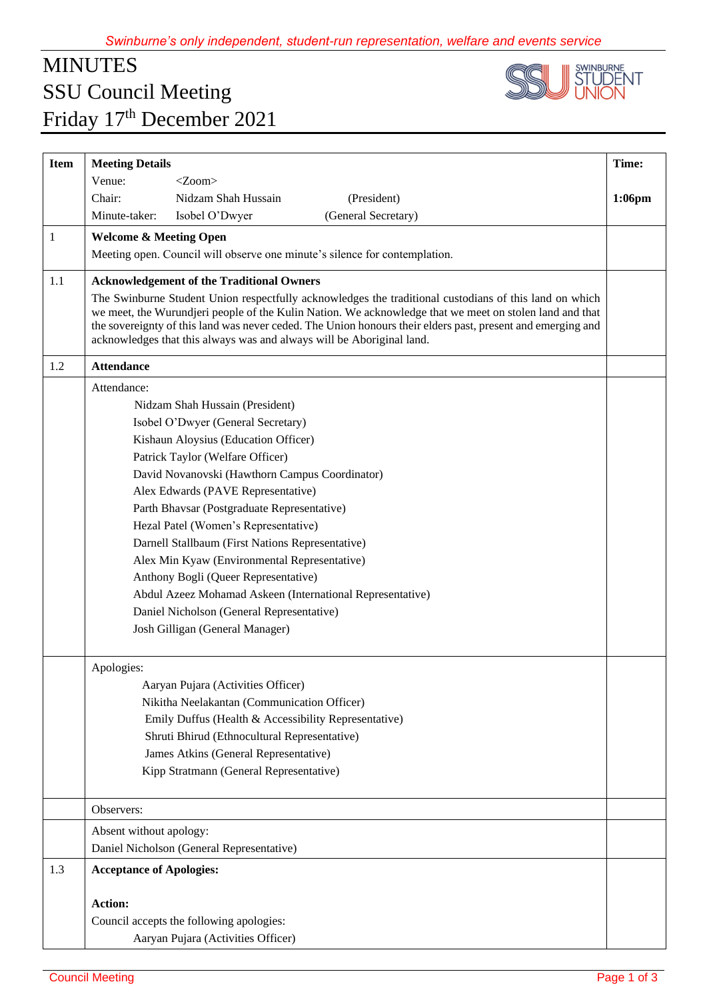## MINUTES SSU Council Meeting Friday 17<sup>th</sup> December 2021



| <b>Item</b> | <b>Meeting Details</b>                                                                                                                                                                                                                                                                                                                                                                                    | Time:     |
|-------------|-----------------------------------------------------------------------------------------------------------------------------------------------------------------------------------------------------------------------------------------------------------------------------------------------------------------------------------------------------------------------------------------------------------|-----------|
|             | Venue:<br>$<$ Zoom $>$                                                                                                                                                                                                                                                                                                                                                                                    |           |
|             | Nidzam Shah Hussain<br>Chair:<br>(President)                                                                                                                                                                                                                                                                                                                                                              | $1:06$ pm |
|             | (General Secretary)<br>Minute-taker:<br>Isobel O'Dwyer                                                                                                                                                                                                                                                                                                                                                    |           |
| 1           | <b>Welcome &amp; Meeting Open</b>                                                                                                                                                                                                                                                                                                                                                                         |           |
|             | Meeting open. Council will observe one minute's silence for contemplation.                                                                                                                                                                                                                                                                                                                                |           |
| 1.1         | <b>Acknowledgement of the Traditional Owners</b>                                                                                                                                                                                                                                                                                                                                                          |           |
|             | The Swinburne Student Union respectfully acknowledges the traditional custodians of this land on which<br>we meet, the Wurundjeri people of the Kulin Nation. We acknowledge that we meet on stolen land and that<br>the sovereignty of this land was never ceded. The Union honours their elders past, present and emerging and<br>acknowledges that this always was and always will be Aboriginal land. |           |
| 1.2         | <b>Attendance</b>                                                                                                                                                                                                                                                                                                                                                                                         |           |
|             | Attendance:                                                                                                                                                                                                                                                                                                                                                                                               |           |
|             | Nidzam Shah Hussain (President)                                                                                                                                                                                                                                                                                                                                                                           |           |
|             | Isobel O'Dwyer (General Secretary)                                                                                                                                                                                                                                                                                                                                                                        |           |
|             | Kishaun Aloysius (Education Officer)                                                                                                                                                                                                                                                                                                                                                                      |           |
|             | Patrick Taylor (Welfare Officer)                                                                                                                                                                                                                                                                                                                                                                          |           |
|             | David Novanovski (Hawthorn Campus Coordinator)                                                                                                                                                                                                                                                                                                                                                            |           |
|             | Alex Edwards (PAVE Representative)                                                                                                                                                                                                                                                                                                                                                                        |           |
|             | Parth Bhavsar (Postgraduate Representative)                                                                                                                                                                                                                                                                                                                                                               |           |
|             | Hezal Patel (Women's Representative)                                                                                                                                                                                                                                                                                                                                                                      |           |
|             | Darnell Stallbaum (First Nations Representative)                                                                                                                                                                                                                                                                                                                                                          |           |
|             | Alex Min Kyaw (Environmental Representative)                                                                                                                                                                                                                                                                                                                                                              |           |
|             | Anthony Bogli (Queer Representative)                                                                                                                                                                                                                                                                                                                                                                      |           |
|             | Abdul Azeez Mohamad Askeen (International Representative)                                                                                                                                                                                                                                                                                                                                                 |           |
|             | Daniel Nicholson (General Representative)                                                                                                                                                                                                                                                                                                                                                                 |           |
|             | Josh Gilligan (General Manager)                                                                                                                                                                                                                                                                                                                                                                           |           |
|             | Apologies:                                                                                                                                                                                                                                                                                                                                                                                                |           |
|             | Aaryan Pujara (Activities Officer)                                                                                                                                                                                                                                                                                                                                                                        |           |
|             | Nikitha Neelakantan (Communication Officer)                                                                                                                                                                                                                                                                                                                                                               |           |
|             | Emily Duffus (Health & Accessibility Representative)                                                                                                                                                                                                                                                                                                                                                      |           |
|             | Shruti Bhirud (Ethnocultural Representative)                                                                                                                                                                                                                                                                                                                                                              |           |
|             | James Atkins (General Representative)                                                                                                                                                                                                                                                                                                                                                                     |           |
|             | Kipp Stratmann (General Representative)                                                                                                                                                                                                                                                                                                                                                                   |           |
|             |                                                                                                                                                                                                                                                                                                                                                                                                           |           |
|             | Observers:                                                                                                                                                                                                                                                                                                                                                                                                |           |
|             | Absent without apology:                                                                                                                                                                                                                                                                                                                                                                                   |           |
|             | Daniel Nicholson (General Representative)                                                                                                                                                                                                                                                                                                                                                                 |           |
| 1.3         | <b>Acceptance of Apologies:</b>                                                                                                                                                                                                                                                                                                                                                                           |           |
|             | <b>Action:</b>                                                                                                                                                                                                                                                                                                                                                                                            |           |
|             | Council accepts the following apologies:                                                                                                                                                                                                                                                                                                                                                                  |           |
|             | Aaryan Pujara (Activities Officer)                                                                                                                                                                                                                                                                                                                                                                        |           |
|             |                                                                                                                                                                                                                                                                                                                                                                                                           |           |